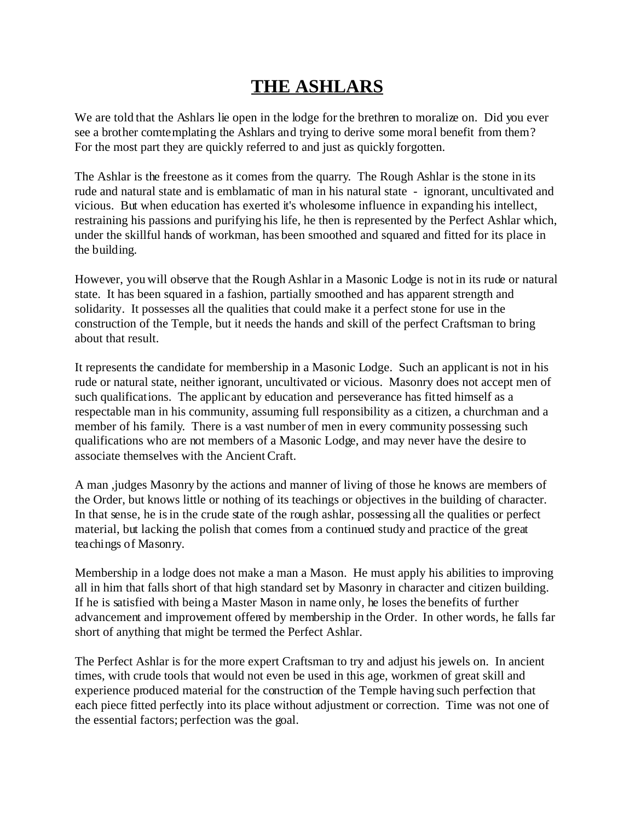## **THE ASHLARS**

We are told that the Ashlars lie open in the lodge for the brethren to moralize on. Did you ever see a brother comtemplating the Ashlars and trying to derive some moral benefit from them? For the most part they are quickly referred to and just as quickly forgotten.

The Ashlar is the freestone as it comes from the quarry. The Rough Ashlar is the stone in its rude and natural state and is emblamatic of man in his natural state - ignorant, uncultivated and vicious. But when education has exerted it's wholesome influence in expanding his intellect, restraining his passions and purifying his life, he then is represented by the Perfect Ashlar which, under the skillful hands of workman, has been smoothed and squared and fitted for its place in the building.

However, you will observe that the Rough Ashlar in a Masonic Lodge is not in its rude or natural state. It has been squared in a fashion, partially smoothed and has apparent strength and solidarity. It possesses all the qualities that could make it a perfect stone for use in the construction of the Temple, but it needs the hands and skill of the perfect Craftsman to bring about that result.

It represents the candidate for membership in a Masonic Lodge. Such an applicant is not in his rude or natural state, neither ignorant, uncultivated or vicious. Masonry does not accept men of such qualifications. The applicant by education and perseverance has fitted himself as a respectable man in his community, assuming full responsibility as a citizen, a churchman and a member of his family. There is a vast number of men in every community possessing such qualifications who are not members of a Masonic Lodge, and may never have the desire to associate themselves with the Ancient Craft.

A man ,judges Masonry by the actions and manner of living of those he knows are members of the Order, but knows little or nothing of its teachings or objectives in the building of character. In that sense, he is in the crude state of the rough ashlar, possessing all the qualities or perfect material, but lacking the polish that comes from a continued study and practice of the great teachings of Masonry.

Membership in a lodge does not make a man a Mason. He must apply his abilities to improving all in him that falls short of that high standard set by Masonry in character and citizen building. If he is satisfied with being a Master Mason in name only, he loses the benefits of further advancement and improvement offered by membership in the Order. In other words, he falls far short of anything that might be termed the Perfect Ashlar.

The Perfect Ashlar is for the more expert Craftsman to try and adjust his jewels on. In ancient times, with crude tools that would not even be used in this age, workmen of great skill and experience produced material for the construction of the Temple having such perfection that each piece fitted perfectly into its place without adjustment or correction. Time was not one of the essential factors; perfection was the goal.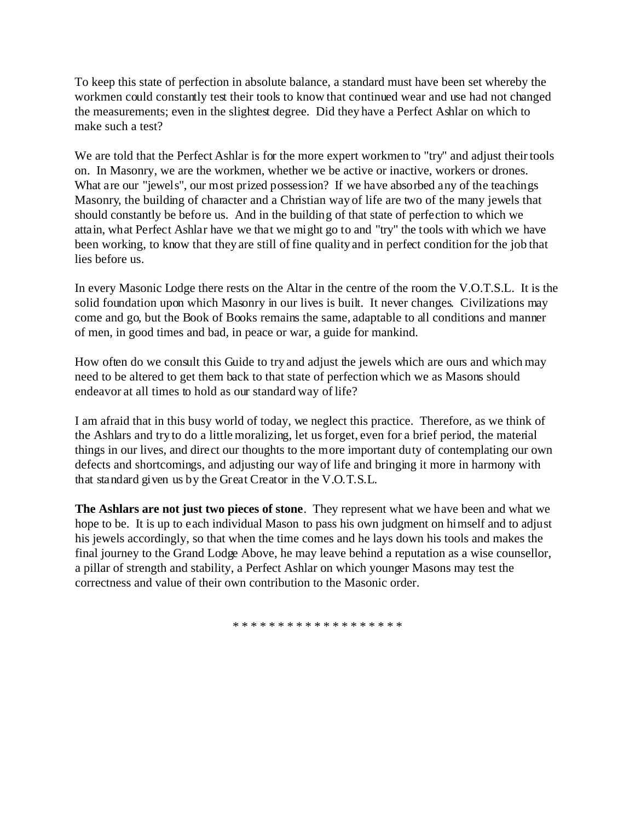To keep this state of perfection in absolute balance, a standard must have been set whereby the workmen could constantly test their tools to know that continued wear and use had not changed the measurements; even in the slightest degree. Did they have a Perfect Ashlar on which to make such a test?

We are told that the Perfect Ashlar is for the more expert workmen to "try" and adjust their tools on. In Masonry, we are the workmen, whether we be active or inactive, workers or drones. What are our "jewels", our most prized possession? If we have absorbed any of the teachings Masonry, the building of character and a Christian way of life are two of the many jewels that should constantly be before us. And in the building of that state of perfection to which we attain, what Perfect Ashlar have we that we might go to and "try" the tools with which we have been working, to know that they are still of fine quality and in perfect condition for the job that lies before us.

In every Masonic Lodge there rests on the Altar in the centre of the room the V.O.T.S.L. It is the solid foundation upon which Masonry in our lives is built. It never changes. Civilizations may come and go, but the Book of Books remains the same, adaptable to all conditions and manner of men, in good times and bad, in peace or war, a guide for mankind.

How often do we consult this Guide to try and adjust the jewels which are ours and which may need to be altered to get them back to that state of perfection which we as Masons should endeavor at all times to hold as our standard way of life?

I am afraid that in this busy world of today, we neglect this practice. Therefore, as we think of the Ashlars and try to do a little moralizing, let us forget, even for a brief period, the material things in our lives, and direct our thoughts to the more important duty of contemplating our own defects and shortcomings, and adjusting our way of life and bringing it more in harmony with that standard given us by the Great Creator in the V.O.T.S.L.

**The Ashlars are not just two pieces of stone**. They represent what we have been and what we hope to be. It is up to each individual Mason to pass his own judgment on himself and to adjust his jewels accordingly, so that when the time comes and he lays down his tools and makes the final journey to the Grand Lodge Above, he may leave behind a reputation as a wise counsellor, a pillar of strength and stability, a Perfect Ashlar on which younger Masons may test the correctness and value of their own contribution to the Masonic order.

\* \* \* \* \* \* \* \* \* \* \* \* \* \* \* \* \* \*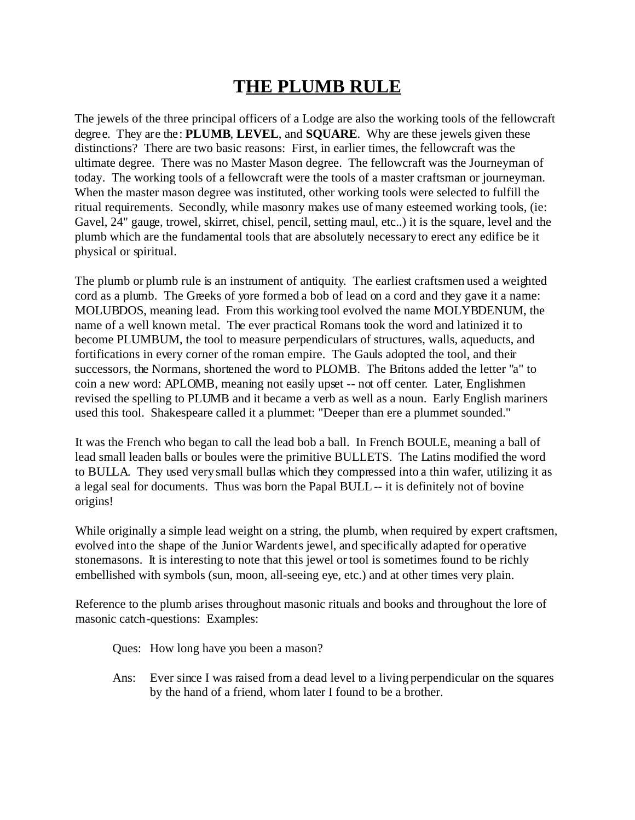## **THE PLUMB RULE**

The jewels of the three principal officers of a Lodge are also the working tools of the fellowcraft degree. They are the: **PLUMB**, **LEVEL**, and **SQUARE**. Why are these jewels given these distinctions? There are two basic reasons: First, in earlier times, the fellowcraft was the ultimate degree. There was no Master Mason degree. The fellowcraft was the Journeyman of today. The working tools of a fellowcraft were the tools of a master craftsman or journeyman. When the master mason degree was instituted, other working tools were selected to fulfill the ritual requirements. Secondly, while masonry makes use of many esteemed working tools, (ie: Gavel, 24" gauge, trowel, skirret, chisel, pencil, setting maul, etc..) it is the square, level and the plumb which are the fundamental tools that are absolutely necessary to erect any edifice be it physical or spiritual.

The plumb or plumb rule is an instrument of antiquity. The earliest craftsmen used a weighted cord as a plumb. The Greeks of yore formed a bob of lead on a cord and they gave it a name: MOLUBDOS, meaning lead. From this working tool evolved the name MOLYBDENUM, the name of a well known metal. The ever practical Romans took the word and latinized it to become PLUMBUM, the tool to measure perpendiculars of structures, walls, aqueducts, and fortifications in every corner of the roman empire. The Gauls adopted the tool, and their successors, the Normans, shortened the word to PLOMB. The Britons added the letter "a" to coin a new word: APLOMB, meaning not easily upset -- not off center. Later, Englishmen revised the spelling to PLUMB and it became a verb as well as a noun. Early English mariners used this tool. Shakespeare called it a plummet: "Deeper than ere a plummet sounded."

It was the French who began to call the lead bob a ball. In French BOULE, meaning a ball of lead small leaden balls or boules were the primitive BULLETS. The Latins modified the word to BULLA. They used very small bullas which they compressed into a thin wafer, utilizing it as a legal seal for documents. Thus was born the Papal BULL -- it is definitely not of bovine origins!

While originally a simple lead weight on a string, the plumb, when required by expert craftsmen, evolved into the shape of the Junior Wardents jewel, and specifically adapted for operative stonemasons. It is interesting to note that this jewel or tool is sometimes found to be richly embellished with symbols (sun, moon, all-seeing eye, etc.) and at other times very plain.

Reference to the plumb arises throughout masonic rituals and books and throughout the lore of masonic catch-questions: Examples:

Ques: How long have you been a mason?

Ans: Ever since I was raised from a dead level to a living perpendicular on the squares by the hand of a friend, whom later I found to be a brother.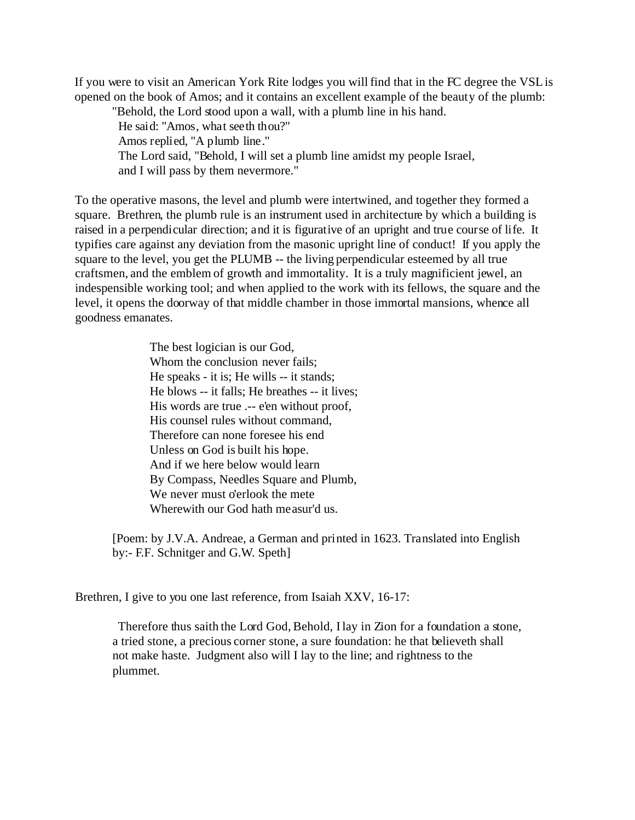If you were to visit an American York Rite lodges you will find that in the FC degree the VSL is opened on the book of Amos; and it contains an excellent example of the beauty of the plumb:

"Behold, the Lord stood upon a wall, with a plumb line in his hand.

He said: "Amos, what seeth thou?"

Amos replied, "A plumb line."

The Lord said, "Behold, I will set a plumb line amidst my people Israel,

and I will pass by them nevermore."

To the operative masons, the level and plumb were intertwined, and together they formed a square. Brethren, the plumb rule is an instrument used in architecture by which a building is raised in a perpendicular direction; and it is figurative of an upright and true course of life. It typifies care against any deviation from the masonic upright line of conduct! If you apply the square to the level, you get the PLUMB -- the living perpendicular esteemed by all true craftsmen, and the emblem of growth and immortality. It is a truly magnificient jewel, an indespensible working tool; and when applied to the work with its fellows, the square and the level, it opens the doorway of that middle chamber in those immortal mansions, whence all goodness emanates.

> The best logician is our God, Whom the conclusion never fails; He speaks - it is; He wills -- it stands; He blows -- it falls; He breathes -- it lives; His words are true .-- e'en without proof, His counsel rules without command, Therefore can none foresee his end Unless on God is built his hope. And if we here below would learn By Compass, Needles Square and Plumb, We never must o'erlook the mete Wherewith our God hath measur'd us.

[Poem: by J.V.A. Andreae, a German and printed in 1623. Translated into English by:- F.F. Schnitger and G.W. Speth]

Brethren, I give to you one last reference, from Isaiah XXV, 16-17:

 Therefore thus saith the Lord God, Behold, I lay in Zion for a foundation a stone, a tried stone, a precious corner stone, a sure foundation: he that believeth shall not make haste. Judgment also will I lay to the line; and rightness to the plummet.